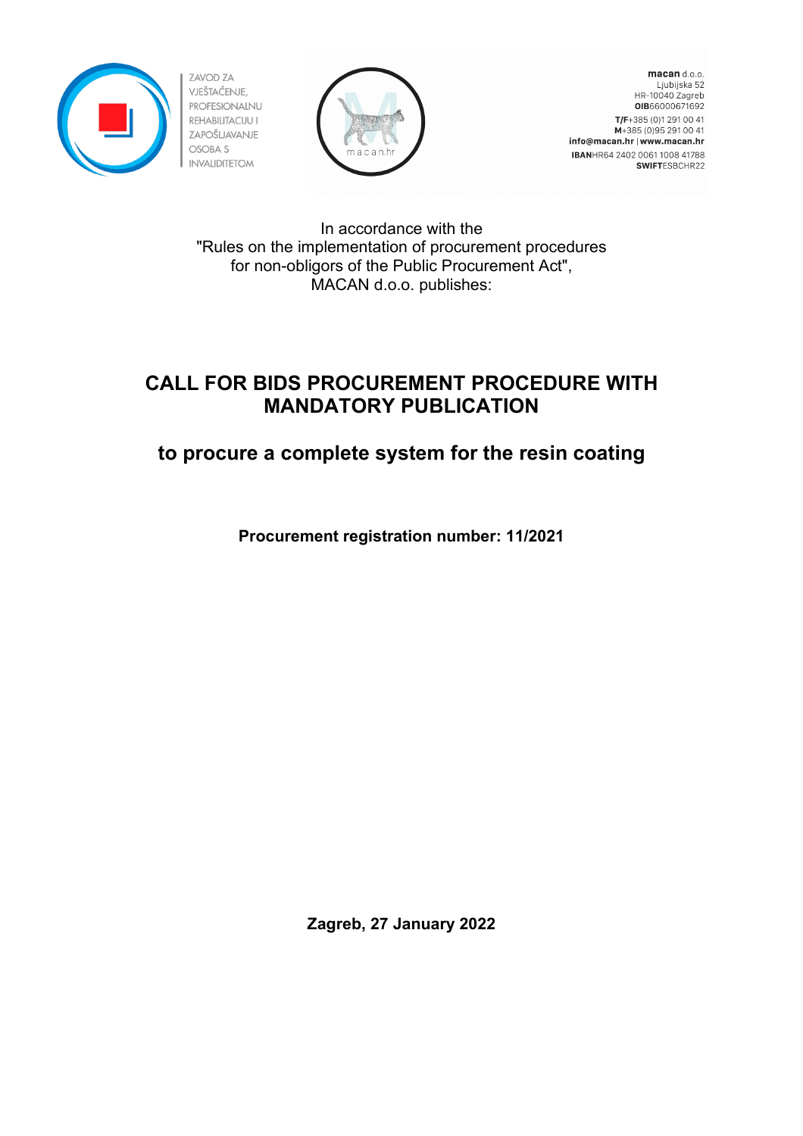



macan d.o.o. Ljubijska 52 HR-10040 Zagreb OIB66000671692 T/F+385 (0)1 291 00 41 M+385 (0) 95 291 00 41 info@macan.hr | www.macan.hr IBANHR64 2402 0061 1008 41788 SWIFTESBCHR22

In accordance with the "Rules on the implementation of procurement procedures for non-obligors of the Public Procurement Act", MACAN d.o.o. publishes:

# **CALL FOR BIDS PROCUREMENT PROCEDURE WITH MANDATORY PUBLICATION**

# **to procure a complete system for the resin coating**

**Procurement registration number: 11/2021**

**Zagreb, 27 January 2022**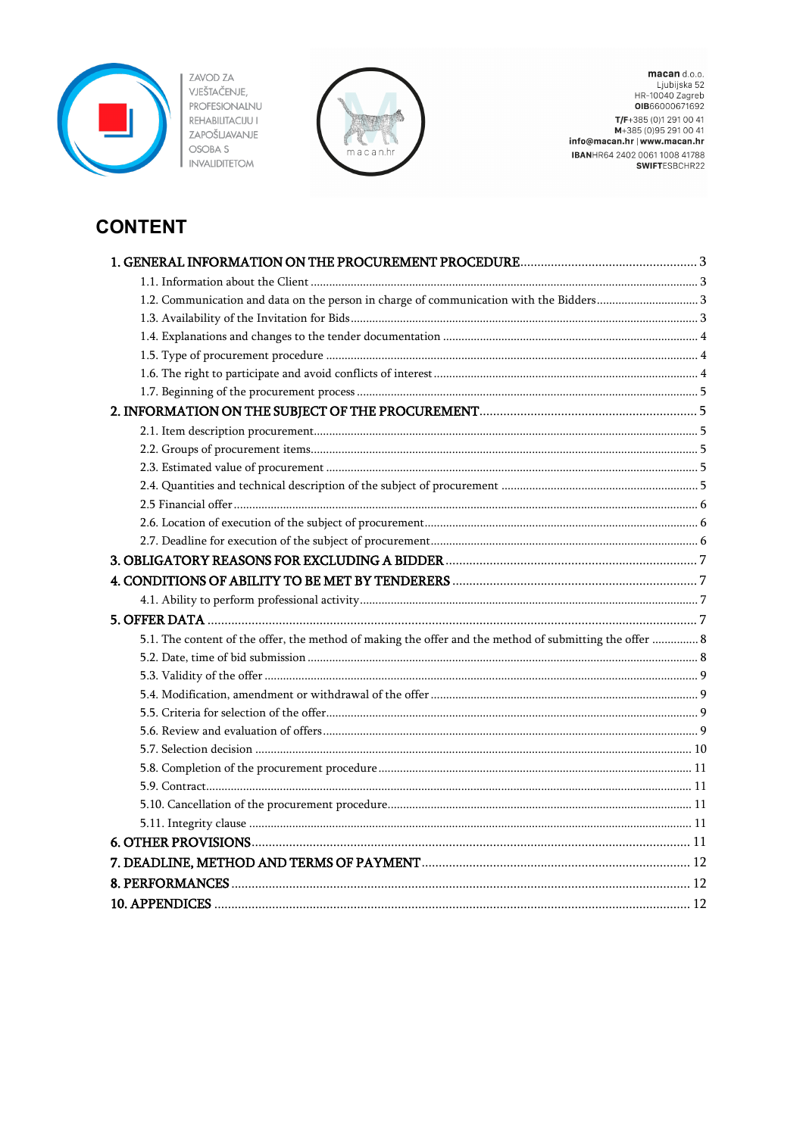



macan d.o.o.<br>Ljubijska 52<br>HR-10040 Zagreb<br>**OIB**66000671692 T/F+385 (0)1 291 00 41<br>M+385 (0)95 291 00 41<br>M+385 (0)95 291 00 41<br>info@macan.hr | www.macan.hr **IBANHR64 2402 0061 1008 41788**<br>**SWIFT**ESBCHR22

# **CONTENT**

| 5.1. The content of the offer, the method of making the offer and the method of submitting the offer  8 |      |
|---------------------------------------------------------------------------------------------------------|------|
|                                                                                                         |      |
|                                                                                                         |      |
|                                                                                                         |      |
|                                                                                                         |      |
|                                                                                                         |      |
|                                                                                                         |      |
|                                                                                                         |      |
|                                                                                                         |      |
|                                                                                                         |      |
|                                                                                                         |      |
|                                                                                                         |      |
|                                                                                                         |      |
|                                                                                                         |      |
| 10. APPENDICES                                                                                          | . 12 |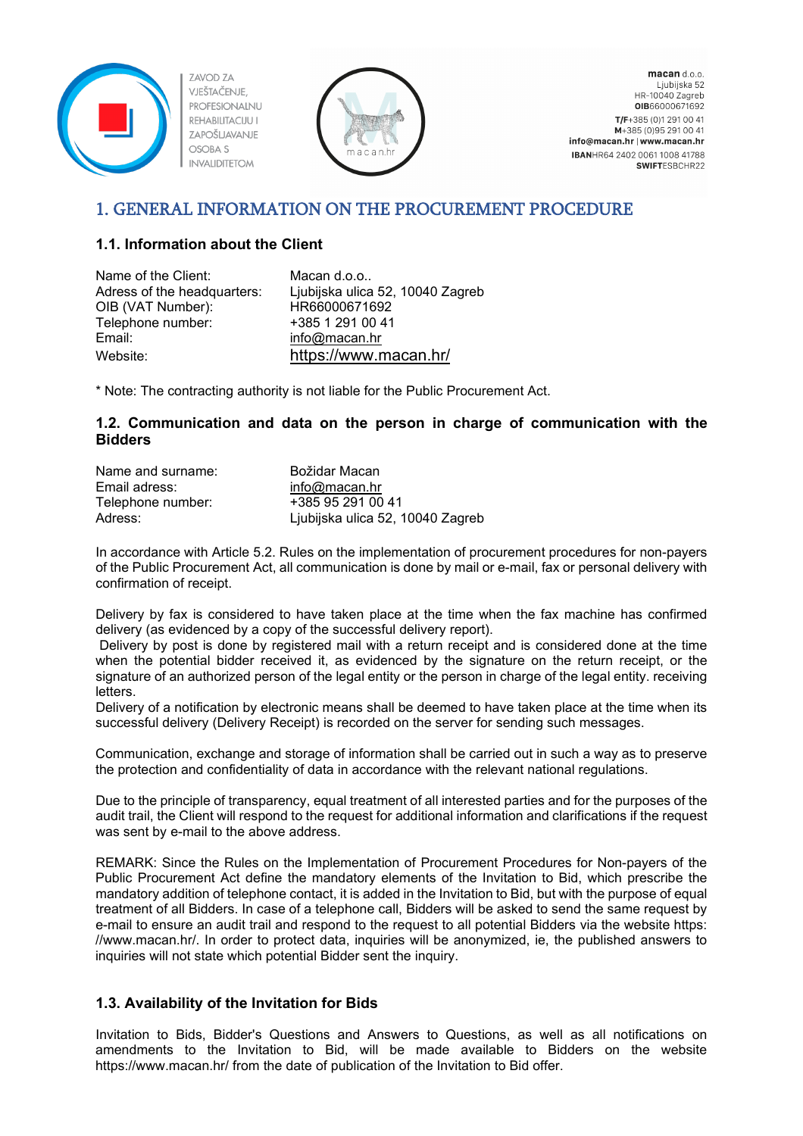



macan d.o.o. Ljubijska 52 HR-10040 Zagreb OIB66000671692 T/F+385 (0)1 291 00 41 M+385 (0) 95 291 00 41 info@macan.hr | www.macan.hr IBANHR64 2402 0061 1008 41788 SWIFTESBCHR22

# <span id="page-2-0"></span>1. GENERAL INFORMATION ON THE PROCUREMENT PROCEDURE

### <span id="page-2-1"></span>**1.1. Information about the Client**

| Name of the Client:         | Macan d.o.o                      |
|-----------------------------|----------------------------------|
| Adress of the headquarters: | Ljubijska ulica 52, 10040 Zagreb |
| OIB (VAT Number):           | HR66000671692                    |
| Telephone number:           | +385 1 291 00 41                 |
| Email:                      | $info@$ macan.hr                 |
| Website:                    | https://www.macan.hr/            |

\* Note: The contracting authority is not liable for the Public Procurement Act.

#### <span id="page-2-2"></span>**1.2. Communication and data on the person in charge of communication with the Bidders**

| Name and surname: | Božidar Macan                    |
|-------------------|----------------------------------|
| Email adress:     | $info@$ macan.hr                 |
| Telephone number: | +385 95 291 00 41                |
| Adress:           | Ljubijska ulica 52, 10040 Zagreb |

In accordance with Article 5.2. Rules on the implementation of procurement procedures for non-payers of the Public Procurement Act, all communication is done by mail or e-mail, fax or personal delivery with confirmation of receipt.

Delivery by fax is considered to have taken place at the time when the fax machine has confirmed delivery (as evidenced by a copy of the successful delivery report).

Delivery by post is done by registered mail with a return receipt and is considered done at the time when the potential bidder received it, as evidenced by the signature on the return receipt, or the signature of an authorized person of the legal entity or the person in charge of the legal entity. receiving letters.

Delivery of a notification by electronic means shall be deemed to have taken place at the time when its successful delivery (Delivery Receipt) is recorded on the server for sending such messages.

Communication, exchange and storage of information shall be carried out in such a way as to preserve the protection and confidentiality of data in accordance with the relevant national regulations.

Due to the principle of transparency, equal treatment of all interested parties and for the purposes of the audit trail, the Client will respond to the request for additional information and clarifications if the request was sent by e-mail to the above address.

REMARK: Since the Rules on the Implementation of Procurement Procedures for Non-payers of the Public Procurement Act define the mandatory elements of the Invitation to Bid, which prescribe the mandatory addition of telephone contact, it is added in the Invitation to Bid, but with the purpose of equal treatment of all Bidders. In case of a telephone call, Bidders will be asked to send the same request by e-mail to ensure an audit trail and respond to the request to all potential Bidders via the website https: //www.macan.hr/. In order to protect data, inquiries will be anonymized, ie, the published answers to inquiries will not state which potential Bidder sent the inquiry.

### <span id="page-2-3"></span>**1.3. Availability of the Invitation for Bids**

Invitation to Bids, Bidder's Questions and Answers to Questions, as well as all notifications on amendments to the Invitation to Bid, will be made available to Bidders on the website https://www.macan.hr/ from the date of publication of the Invitation to Bid offer.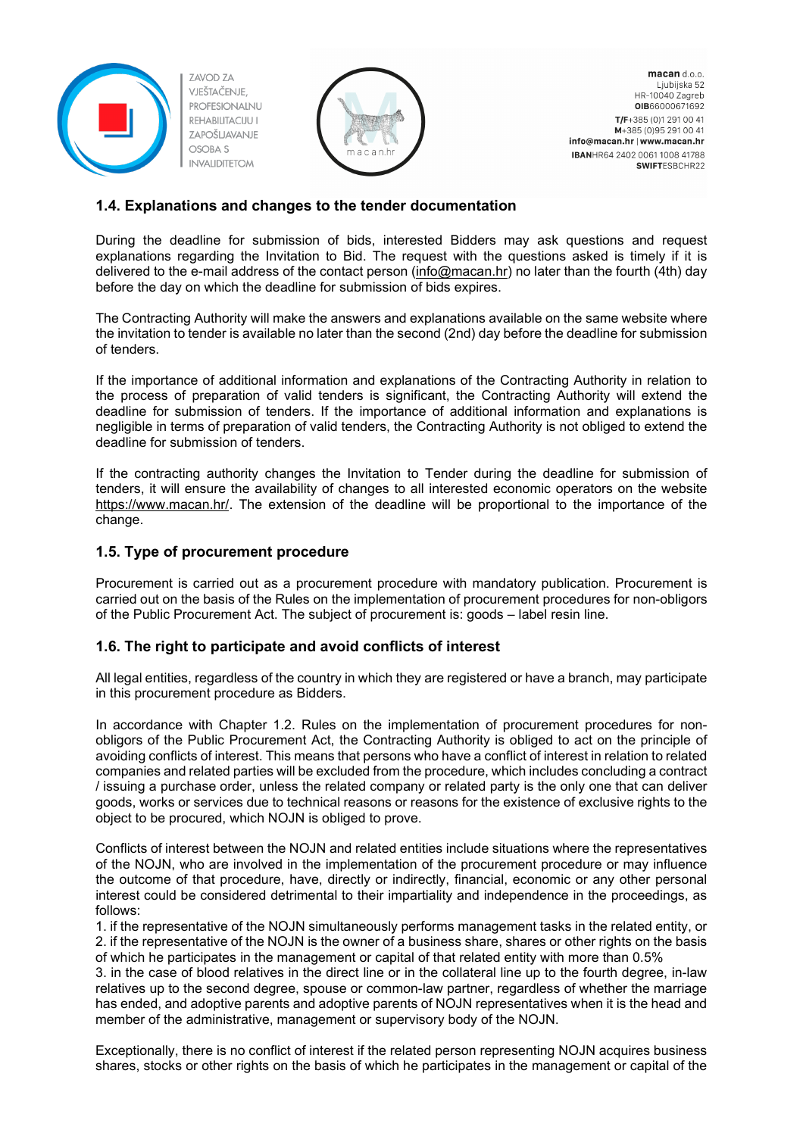



macan d.o.o. Ljubijska 52 HR-10040 Zagreb OIB66000671692 T/F+385 (0)1 291 00 41 M+385 (0) 95 291 00 41 info@macan.hr | www.macan.hr IBANHR64 2402 0061 1008 41788 SWIFTESBCHR22

#### <span id="page-3-0"></span>**1.4. Explanations and changes to the tender documentation**

During the deadline for submission of bids, interested Bidders may ask questions and request explanations regarding the Invitation to Bid. The request with the questions asked is timely if it is delivered to the e-mail address of the contact person [\(info@macan.hr\)](mailto:info@macan.hr) no later than the fourth (4th) day before the day on which the deadline for submission of bids expires.

The Contracting Authority will make the answers and explanations available on the same website where the invitation to tender is available no later than the second (2nd) day before the deadline for submission of tenders.

If the importance of additional information and explanations of the Contracting Authority in relation to the process of preparation of valid tenders is significant, the Contracting Authority will extend the deadline for submission of tenders. If the importance of additional information and explanations is negligible in terms of preparation of valid tenders, the Contracting Authority is not obliged to extend the deadline for submission of tenders.

If the contracting authority changes the Invitation to Tender during the deadline for submission of tenders, it will ensure the availability of changes to all interested economic operators on the website [https://www.macan.hr/.](https://www.macan.hr/) The extension of the deadline will be proportional to the importance of the change.

#### <span id="page-3-1"></span>**1.5. Type of procurement procedure**

Procurement is carried out as a procurement procedure with mandatory publication. Procurement is carried out on the basis of the Rules on the implementation of procurement procedures for non-obligors of the Public Procurement Act. The subject of procurement is: goods – label resin line.

#### <span id="page-3-2"></span>**1.6. The right to participate and avoid conflicts of interest**

All legal entities, regardless of the country in which they are registered or have a branch, may participate in this procurement procedure as Bidders.

In accordance with Chapter 1.2. Rules on the implementation of procurement procedures for nonobligors of the Public Procurement Act, the Contracting Authority is obliged to act on the principle of avoiding conflicts of interest. This means that persons who have a conflict of interest in relation to related companies and related parties will be excluded from the procedure, which includes concluding a contract / issuing a purchase order, unless the related company or related party is the only one that can deliver goods, works or services due to technical reasons or reasons for the existence of exclusive rights to the object to be procured, which NOJN is obliged to prove.

Conflicts of interest between the NOJN and related entities include situations where the representatives of the NOJN, who are involved in the implementation of the procurement procedure or may influence the outcome of that procedure, have, directly or indirectly, financial, economic or any other personal interest could be considered detrimental to their impartiality and independence in the proceedings, as follows:

1. if the representative of the NOJN simultaneously performs management tasks in the related entity, or 2. if the representative of the NOJN is the owner of a business share, shares or other rights on the basis of which he participates in the management or capital of that related entity with more than 0.5%

3. in the case of blood relatives in the direct line or in the collateral line up to the fourth degree, in-law relatives up to the second degree, spouse or common-law partner, regardless of whether the marriage has ended, and adoptive parents and adoptive parents of NOJN representatives when it is the head and member of the administrative, management or supervisory body of the NOJN.

Exceptionally, there is no conflict of interest if the related person representing NOJN acquires business shares, stocks or other rights on the basis of which he participates in the management or capital of the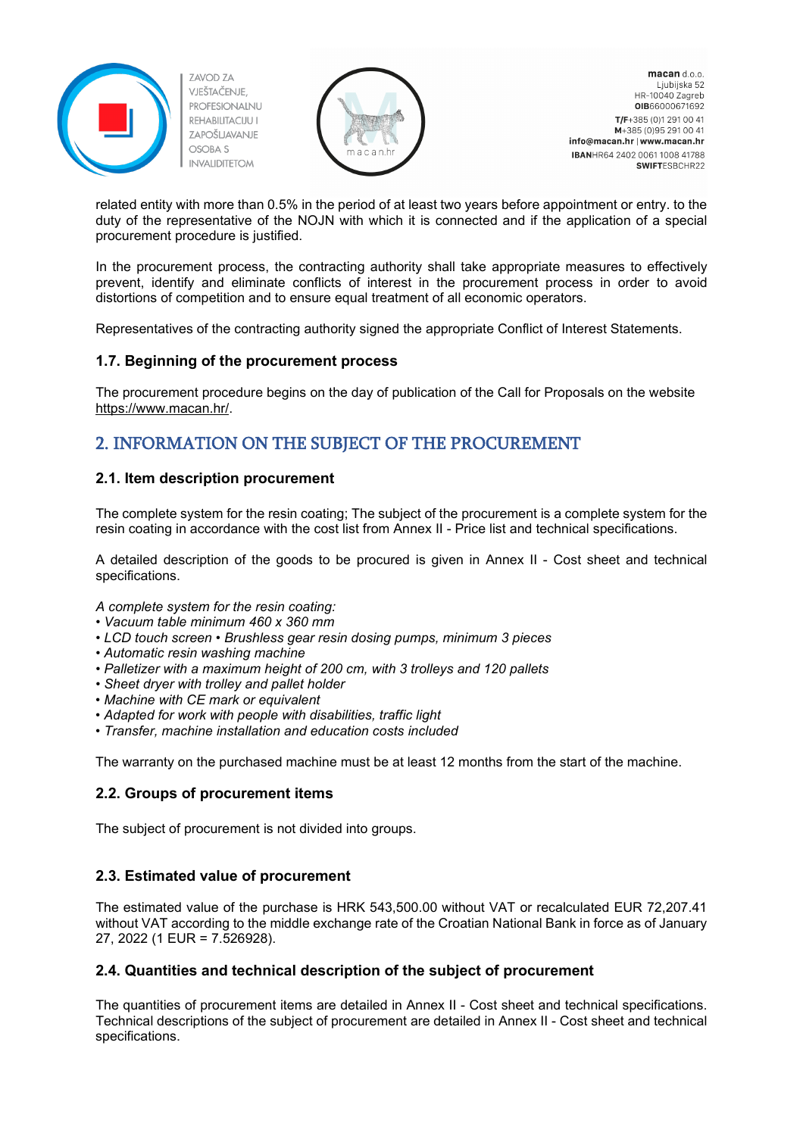



macan d.o.o. Ljubijska 52 HR-10040 Zagreb OIB66000671692 T/F+385 (0)1 291 00 41 M+385 (0) 95 291 00 41 info@macan.hr | www.macan.hr IBANHR64 2402 0061 1008 41788 **SWIFTESBCHR22** 

related entity with more than 0.5% in the period of at least two years before appointment or entry. to the duty of the representative of the NOJN with which it is connected and if the application of a special procurement procedure is justified.

In the procurement process, the contracting authority shall take appropriate measures to effectively prevent, identify and eliminate conflicts of interest in the procurement process in order to avoid distortions of competition and to ensure equal treatment of all economic operators.

Representatives of the contracting authority signed the appropriate Conflict of Interest Statements.

#### <span id="page-4-0"></span>**1.7. Beginning of the procurement process**

The procurement procedure begins on the day of publication of the Call for Proposals on the website [https://www.macan.hr/.](https://www.macan.hr/)

# <span id="page-4-1"></span>2. INFORMATION ON THE SUBJECT OF THE PROCUREMENT

#### <span id="page-4-2"></span>**2.1. Item description procurement**

The complete system for the resin coating; The subject of the procurement is a complete system for the resin coating in accordance with the cost list from Annex II - Price list and technical specifications.

A detailed description of the goods to be procured is given in Annex II - Cost sheet and technical specifications.

*A complete system for the resin coating:*

- *• Vacuum table minimum 460 x 360 mm*
- *• LCD touch screen • Brushless gear resin dosing pumps, minimum 3 pieces*
- *• Automatic resin washing machine*
- *• Palletizer with a maximum height of 200 cm, with 3 trolleys and 120 pallets*
- *• Sheet dryer with trolley and pallet holder*
- *• Machine with CE mark or equivalent*
- *• Adapted for work with people with disabilities, traffic light*
- *• Transfer, machine installation and education costs included*

The warranty on the purchased machine must be at least 12 months from the start of the machine.

#### <span id="page-4-3"></span>**2.2. Groups of procurement items**

The subject of procurement is not divided into groups.

#### <span id="page-4-4"></span>**2.3. Estimated value of procurement**

The estimated value of the purchase is HRK 543,500.00 without VAT or recalculated EUR 72,207.41 without VAT according to the middle exchange rate of the Croatian National Bank in force as of January 27, 2022 (1 EUR = 7.526928).

#### <span id="page-4-5"></span>**2.4. Quantities and technical description of the subject of procurement**

The quantities of procurement items are detailed in Annex II - Cost sheet and technical specifications. Technical descriptions of the subject of procurement are detailed in Annex II - Cost sheet and technical specifications.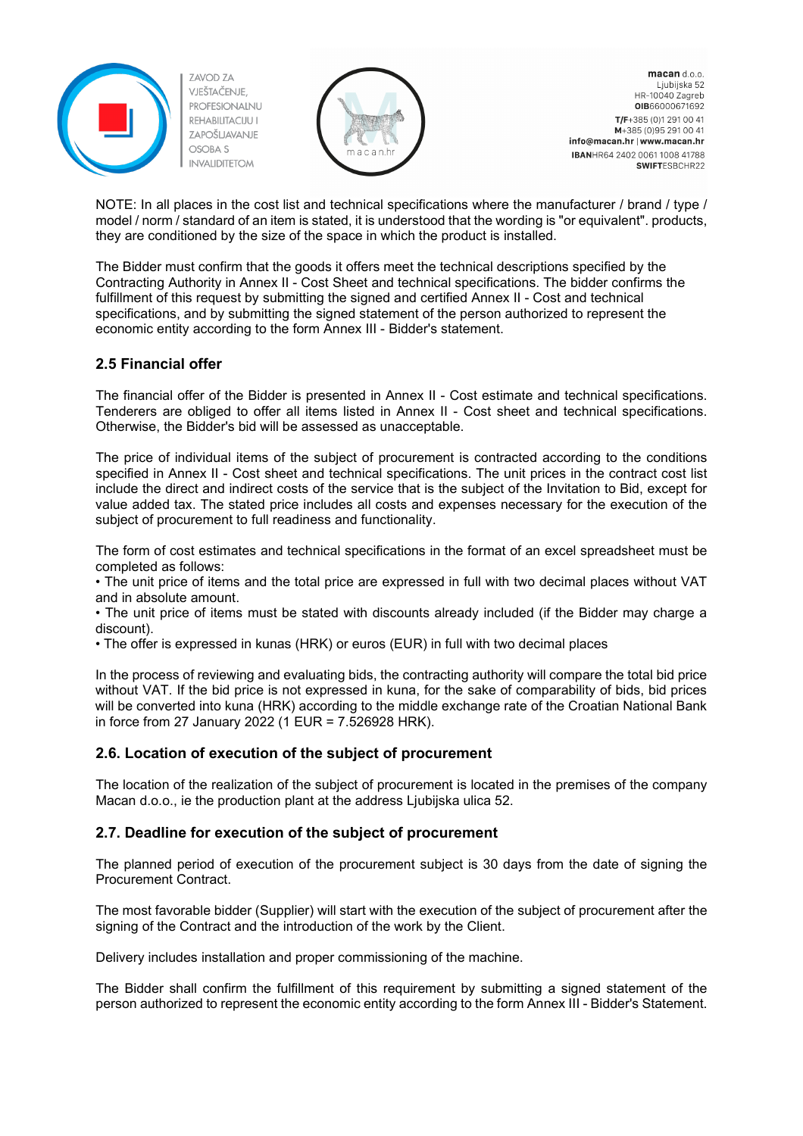



macan d.o.o. Ljubijska 52 HR-10040 Zagreb OIB66000671692 T/F+385 (0)1 291 00 41 M+385 (0) 95 291 00 41 info@macan.hr | www.macan.hr IBANHR64 2402 0061 1008 41788 SWIFTESBCHR22

NOTE: In all places in the cost list and technical specifications where the manufacturer / brand / type / model / norm / standard of an item is stated, it is understood that the wording is "or equivalent". products, they are conditioned by the size of the space in which the product is installed.

The Bidder must confirm that the goods it offers meet the technical descriptions specified by the Contracting Authority in Annex II - Cost Sheet and technical specifications. The bidder confirms the fulfillment of this request by submitting the signed and certified Annex II - Cost and technical specifications, and by submitting the signed statement of the person authorized to represent the economic entity according to the form Annex III - Bidder's statement.

#### <span id="page-5-0"></span>**2.5 Financial offer**

The financial offer of the Bidder is presented in Annex II - Cost estimate and technical specifications. Tenderers are obliged to offer all items listed in Annex II - Cost sheet and technical specifications. Otherwise, the Bidder's bid will be assessed as unacceptable.

The price of individual items of the subject of procurement is contracted according to the conditions specified in Annex II - Cost sheet and technical specifications. The unit prices in the contract cost list include the direct and indirect costs of the service that is the subject of the Invitation to Bid, except for value added tax. The stated price includes all costs and expenses necessary for the execution of the subject of procurement to full readiness and functionality.

The form of cost estimates and technical specifications in the format of an excel spreadsheet must be completed as follows:

• The unit price of items and the total price are expressed in full with two decimal places without VAT and in absolute amount.

• The unit price of items must be stated with discounts already included (if the Bidder may charge a discount).

• The offer is expressed in kunas (HRK) or euros (EUR) in full with two decimal places

In the process of reviewing and evaluating bids, the contracting authority will compare the total bid price without VAT. If the bid price is not expressed in kuna, for the sake of comparability of bids, bid prices will be converted into kuna (HRK) according to the middle exchange rate of the Croatian National Bank in force from 27 January 2022 (1 EUR = 7.526928 HRK).

#### <span id="page-5-1"></span>**2.6. Location of execution of the subject of procurement**

The location of the realization of the subject of procurement is located in the premises of the company Macan d.o.o., ie the production plant at the address Ljubijska ulica 52.

#### <span id="page-5-2"></span>**2.7. Deadline for execution of the subject of procurement**

The planned period of execution of the procurement subject is 30 days from the date of signing the Procurement Contract.

The most favorable bidder (Supplier) will start with the execution of the subject of procurement after the signing of the Contract and the introduction of the work by the Client.

Delivery includes installation and proper commissioning of the machine.

The Bidder shall confirm the fulfillment of this requirement by submitting a signed statement of the person authorized to represent the economic entity according to the form Annex III - Bidder's Statement.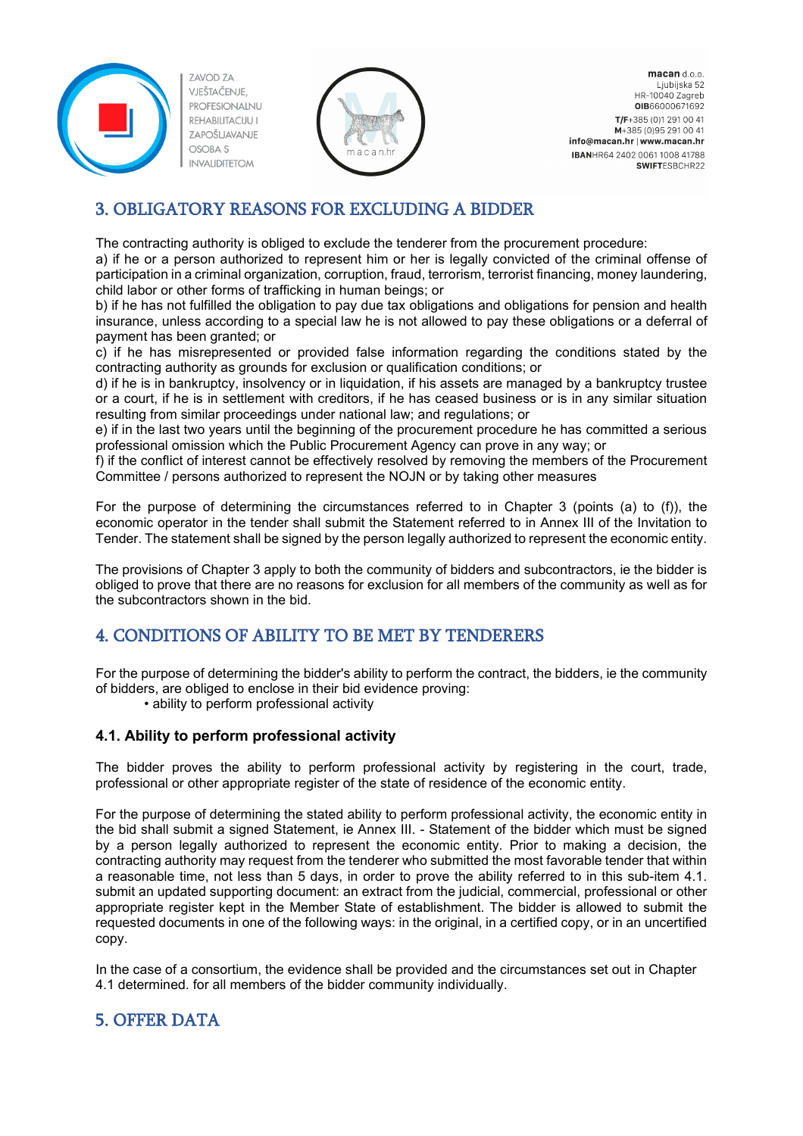



macan d.o.o. Ljubijska 52 HR-10040 Zagreb OIB66000671692 T/F+385 (0)1 291 00 41 M+385 (0) 95 291 00 41 info@macan.hr | www.macan.hr IBANHR64 2402 0061 1008 41788 SWIFTESBCHR22

# <span id="page-6-0"></span>3. OBLIGATORY REASONS FOR EXCLUDING A BIDDER

The contracting authority is obliged to exclude the tenderer from the procurement procedure:

a) if he or a person authorized to represent him or her is legally convicted of the criminal offense of participation in a criminal organization, corruption, fraud, terrorism, terrorist financing, money laundering, child labor or other forms of trafficking in human beings; or

b) if he has not fulfilled the obligation to pay due tax obligations and obligations for pension and health insurance, unless according to a special law he is not allowed to pay these obligations or a deferral of payment has been granted; or

c) if he has misrepresented or provided false information regarding the conditions stated by the contracting authority as grounds for exclusion or qualification conditions; or

d) if he is in bankruptcy, insolvency or in liquidation, if his assets are managed by a bankruptcy trustee or a court, if he is in settlement with creditors, if he has ceased business or is in any similar situation resulting from similar proceedings under national law; and regulations; or

e) if in the last two years until the beginning of the procurement procedure he has committed a serious professional omission which the Public Procurement Agency can prove in any way; or

f) if the conflict of interest cannot be effectively resolved by removing the members of the Procurement Committee / persons authorized to represent the NOJN or by taking other measures

For the purpose of determining the circumstances referred to in Chapter 3 (points (a) to (f)), the economic operator in the tender shall submit the Statement referred to in Annex III of the Invitation to Tender. The statement shall be signed by the person legally authorized to represent the economic entity.

The provisions of Chapter 3 apply to both the community of bidders and subcontractors, ie the bidder is obliged to prove that there are no reasons for exclusion for all members of the community as well as for the subcontractors shown in the bid.

# <span id="page-6-1"></span>4. CONDITIONS OF ABILITY TO BE MET BY TENDERERS

For the purpose of determining the bidder's ability to perform the contract, the bidders, ie the community of bidders, are obliged to enclose in their bid evidence proving:

• ability to perform professional activity

#### <span id="page-6-2"></span>**4.1. Ability to perform professional activity**

The bidder proves the ability to perform professional activity by registering in the court, trade, professional or other appropriate register of the state of residence of the economic entity.

For the purpose of determining the stated ability to perform professional activity, the economic entity in the bid shall submit a signed Statement, ie Annex III. - Statement of the bidder which must be signed by a person legally authorized to represent the economic entity. Prior to making a decision, the contracting authority may request from the tenderer who submitted the most favorable tender that within a reasonable time, not less than 5 days, in order to prove the ability referred to in this sub-item 4.1. submit an updated supporting document: an extract from the judicial, commercial, professional or other appropriate register kept in the Member State of establishment. The bidder is allowed to submit the requested documents in one of the following ways: in the original, in a certified copy, or in an uncertified copy.

In the case of a consortium, the evidence shall be provided and the circumstances set out in Chapter 4.1 determined. for all members of the bidder community individually.

# <span id="page-6-3"></span>5. OFFER DATA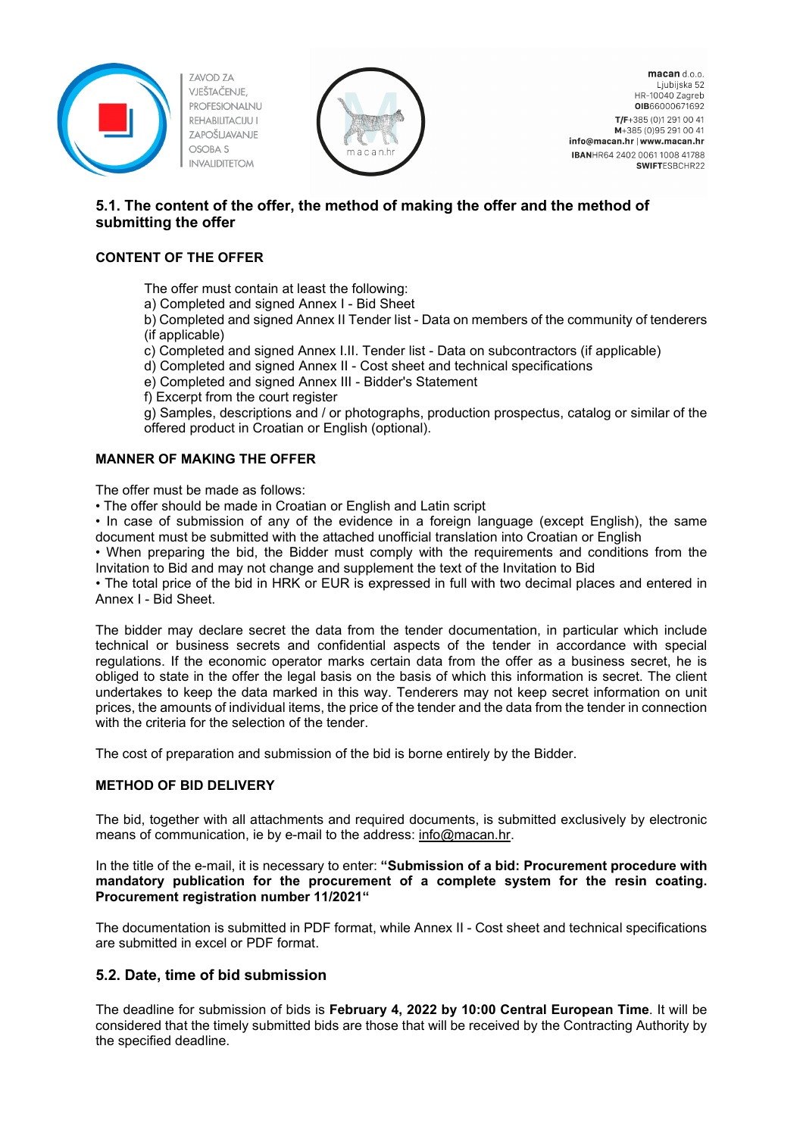



macan d.o.o. Ljubijska 52 HR-10040 Zagreb OIB66000671692 T/F+385 (0)1 291 00 41 M+385 (0) 95 291 00 41 info@macan.hr | www.macan.hr IBANHR64 2402 0061 1008 41788 SWIFTESBCHR22

#### <span id="page-7-0"></span>**5.1. The content of the offer, the method of making the offer and the method of submitting the offer**

#### **CONTENT OF THE OFFER**

The offer must contain at least the following:

a) Completed and signed Annex I - Bid Sheet

b) Completed and signed Annex II Tender list - Data on members of the community of tenderers (if applicable)

c) Completed and signed Annex I.II. Tender list - Data on subcontractors (if applicable)

d) Completed and signed Annex II - Cost sheet and technical specifications

e) Completed and signed Annex III - Bidder's Statement

f) Excerpt from the court register

g) Samples, descriptions and / or photographs, production prospectus, catalog or similar of the offered product in Croatian or English (optional).

#### **MANNER OF MAKING THE OFFER**

The offer must be made as follows:

• The offer should be made in Croatian or English and Latin script

• In case of submission of any of the evidence in a foreign language (except English), the same document must be submitted with the attached unofficial translation into Croatian or English

• When preparing the bid, the Bidder must comply with the requirements and conditions from the Invitation to Bid and may not change and supplement the text of the Invitation to Bid

• The total price of the bid in HRK or EUR is expressed in full with two decimal places and entered in Annex I - Bid Sheet.

The bidder may declare secret the data from the tender documentation, in particular which include technical or business secrets and confidential aspects of the tender in accordance with special regulations. If the economic operator marks certain data from the offer as a business secret, he is obliged to state in the offer the legal basis on the basis of which this information is secret. The client undertakes to keep the data marked in this way. Tenderers may not keep secret information on unit prices, the amounts of individual items, the price of the tender and the data from the tender in connection with the criteria for the selection of the tender.

The cost of preparation and submission of the bid is borne entirely by the Bidder.

#### **METHOD OF BID DELIVERY**

The bid, together with all attachments and required documents, is submitted exclusively by electronic means of communication, ie by e-mail to the address: [info@macan.hr.](mailto:info@macan.hr)

In the title of the e-mail, it is necessary to enter: **"Submission of a bid: Procurement procedure with mandatory publication for the procurement of a complete system for the resin coating. Procurement registration number 11/2021"**

The documentation is submitted in PDF format, while Annex II - Cost sheet and technical specifications are submitted in excel or PDF format.

#### <span id="page-7-1"></span>**5.2. Date, time of bid submission**

The deadline for submission of bids is **February 4, 2022 by 10:00 Central European Time**. It will be considered that the timely submitted bids are those that will be received by the Contracting Authority by the specified deadline.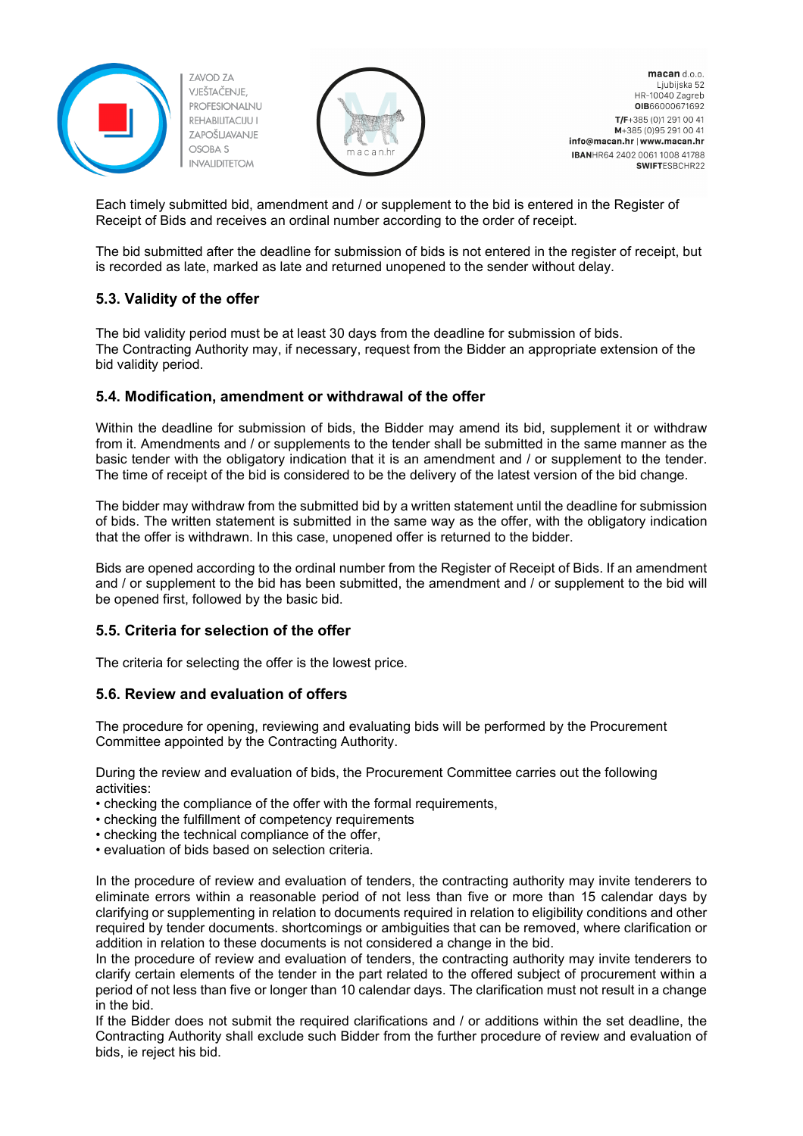



macan d.o.o. Ljubijska 52 HR-10040 Zagreb OIB66000671692 T/F+385 (0)1 291 00 41 M+385 (0) 95 291 00 41 info@macan.hr | www.macan.hr IBANHR64 2402 0061 1008 41788 **SWIFTESBCHR22** 

Each timely submitted bid, amendment and / or supplement to the bid is entered in the Register of Receipt of Bids and receives an ordinal number according to the order of receipt.

The bid submitted after the deadline for submission of bids is not entered in the register of receipt, but is recorded as late, marked as late and returned unopened to the sender without delay.

#### <span id="page-8-0"></span>**5.3. Validity of the offer**

The bid validity period must be at least 30 days from the deadline for submission of bids. The Contracting Authority may, if necessary, request from the Bidder an appropriate extension of the bid validity period.

#### <span id="page-8-1"></span>**5.4. Modification, amendment or withdrawal of the offer**

Within the deadline for submission of bids, the Bidder may amend its bid, supplement it or withdraw from it. Amendments and / or supplements to the tender shall be submitted in the same manner as the basic tender with the obligatory indication that it is an amendment and / or supplement to the tender. The time of receipt of the bid is considered to be the delivery of the latest version of the bid change.

The bidder may withdraw from the submitted bid by a written statement until the deadline for submission of bids. The written statement is submitted in the same way as the offer, with the obligatory indication that the offer is withdrawn. In this case, unopened offer is returned to the bidder.

Bids are opened according to the ordinal number from the Register of Receipt of Bids. If an amendment and / or supplement to the bid has been submitted, the amendment and / or supplement to the bid will be opened first, followed by the basic bid.

#### <span id="page-8-2"></span>**5.5. Criteria for selection of the offer**

The criteria for selecting the offer is the lowest price.

#### <span id="page-8-3"></span>**5.6. Review and evaluation of offers**

The procedure for opening, reviewing and evaluating bids will be performed by the Procurement Committee appointed by the Contracting Authority.

During the review and evaluation of bids, the Procurement Committee carries out the following activities:

- checking the compliance of the offer with the formal requirements,
- checking the fulfillment of competency requirements
- checking the technical compliance of the offer,
- evaluation of bids based on selection criteria.

In the procedure of review and evaluation of tenders, the contracting authority may invite tenderers to eliminate errors within a reasonable period of not less than five or more than 15 calendar days by clarifying or supplementing in relation to documents required in relation to eligibility conditions and other required by tender documents. shortcomings or ambiguities that can be removed, where clarification or addition in relation to these documents is not considered a change in the bid.

In the procedure of review and evaluation of tenders, the contracting authority may invite tenderers to clarify certain elements of the tender in the part related to the offered subject of procurement within a period of not less than five or longer than 10 calendar days. The clarification must not result in a change in the bid.

If the Bidder does not submit the required clarifications and / or additions within the set deadline, the Contracting Authority shall exclude such Bidder from the further procedure of review and evaluation of bids, ie reject his bid.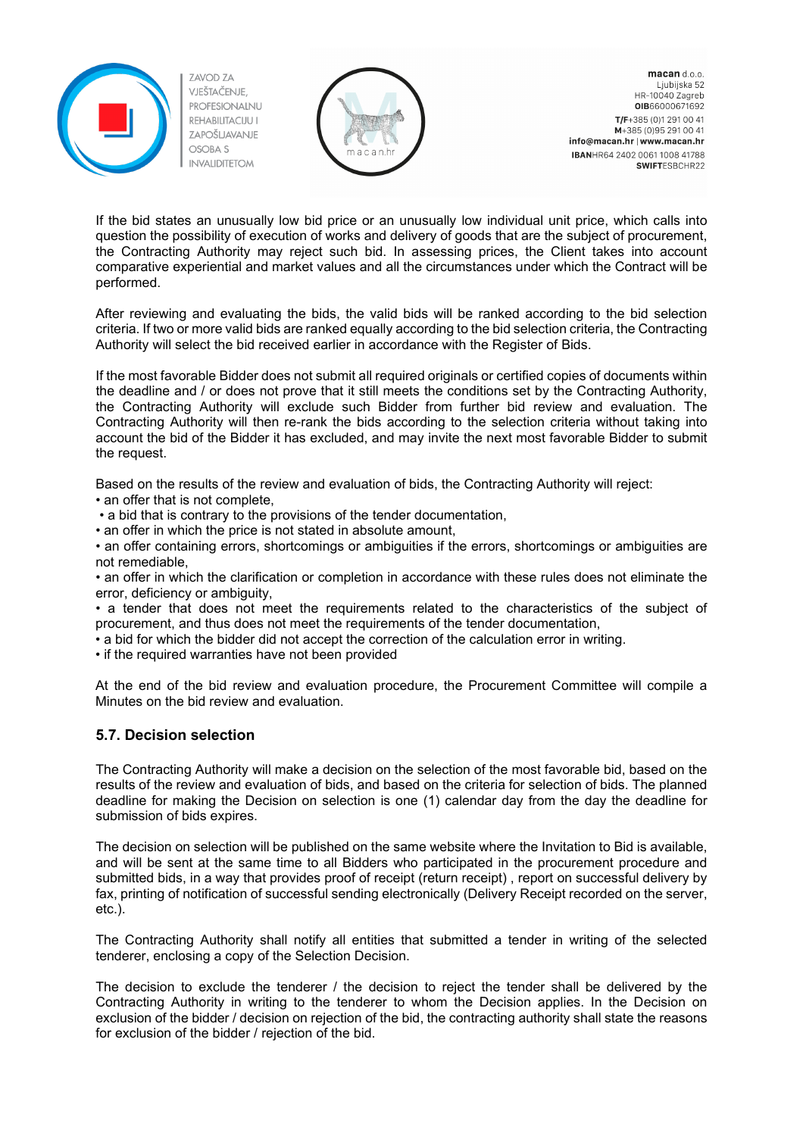



macan d.o.o. Ljubijska 52 HR-10040 Zagreb OIB66000671692 T/F+385 (0)1 291 00 41 M+385 (0) 95 291 00 41 info@macan.hr | www.macan.hr IBANHR64 2402 0061 1008 41788 SWIFTESBCHR22

If the bid states an unusually low bid price or an unusually low individual unit price, which calls into question the possibility of execution of works and delivery of goods that are the subject of procurement, the Contracting Authority may reject such bid. In assessing prices, the Client takes into account comparative experiential and market values and all the circumstances under which the Contract will be performed.

After reviewing and evaluating the bids, the valid bids will be ranked according to the bid selection criteria. If two or more valid bids are ranked equally according to the bid selection criteria, the Contracting Authority will select the bid received earlier in accordance with the Register of Bids.

If the most favorable Bidder does not submit all required originals or certified copies of documents within the deadline and / or does not prove that it still meets the conditions set by the Contracting Authority, the Contracting Authority will exclude such Bidder from further bid review and evaluation. The Contracting Authority will then re-rank the bids according to the selection criteria without taking into account the bid of the Bidder it has excluded, and may invite the next most favorable Bidder to submit the request.

Based on the results of the review and evaluation of bids, the Contracting Authority will reject:

• an offer that is not complete,

• a bid that is contrary to the provisions of the tender documentation,

• an offer in which the price is not stated in absolute amount,

• an offer containing errors, shortcomings or ambiguities if the errors, shortcomings or ambiguities are not remediable,

• an offer in which the clarification or completion in accordance with these rules does not eliminate the error, deficiency or ambiguity,

• a tender that does not meet the requirements related to the characteristics of the subject of procurement, and thus does not meet the requirements of the tender documentation,

• a bid for which the bidder did not accept the correction of the calculation error in writing.

• if the required warranties have not been provided

At the end of the bid review and evaluation procedure, the Procurement Committee will compile a Minutes on the bid review and evaluation.

#### <span id="page-9-0"></span>**5.7. Decision selection**

The Contracting Authority will make a decision on the selection of the most favorable bid, based on the results of the review and evaluation of bids, and based on the criteria for selection of bids. The planned deadline for making the Decision on selection is one (1) calendar day from the day the deadline for submission of bids expires.

The decision on selection will be published on the same website where the Invitation to Bid is available, and will be sent at the same time to all Bidders who participated in the procurement procedure and submitted bids, in a way that provides proof of receipt (return receipt) , report on successful delivery by fax, printing of notification of successful sending electronically (Delivery Receipt recorded on the server, etc.).

The Contracting Authority shall notify all entities that submitted a tender in writing of the selected tenderer, enclosing a copy of the Selection Decision.

The decision to exclude the tenderer / the decision to reject the tender shall be delivered by the Contracting Authority in writing to the tenderer to whom the Decision applies. In the Decision on exclusion of the bidder / decision on rejection of the bid, the contracting authority shall state the reasons for exclusion of the bidder / rejection of the bid.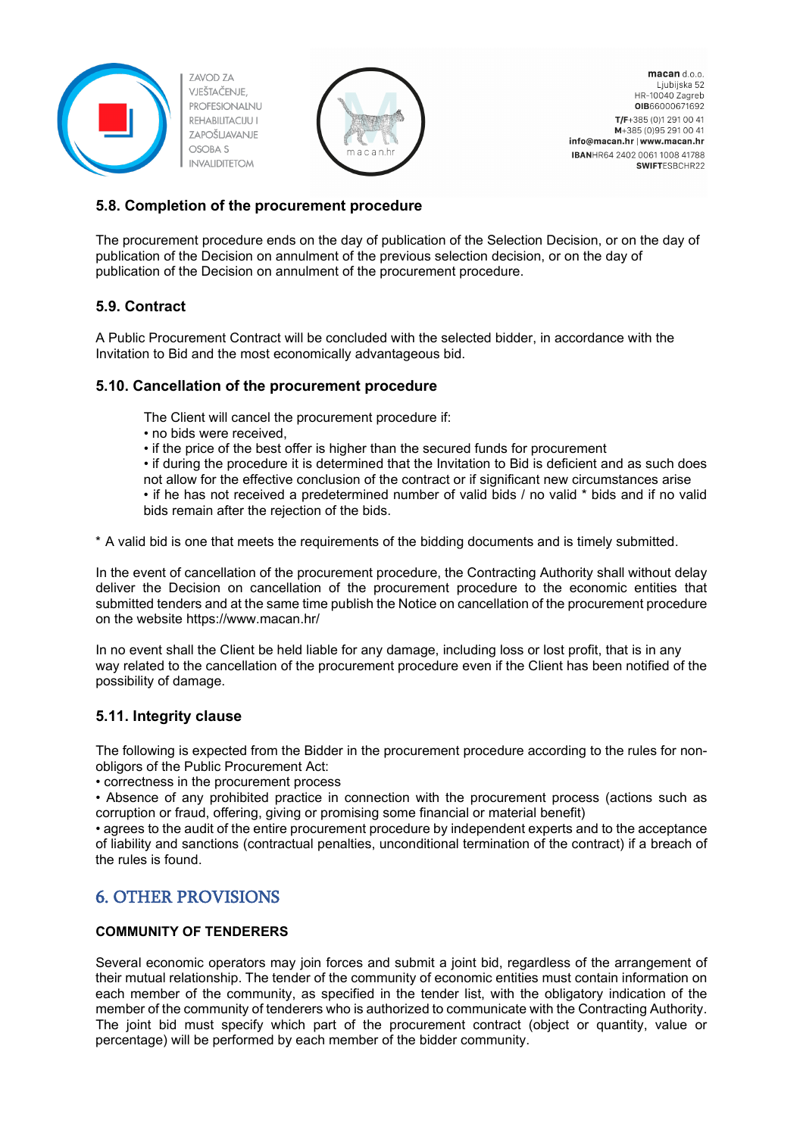



macan d.o.o. Ljubijska 52 HR-10040 Zagreb OIB66000671692 T/F+385 (0)1 291 00 41 M+385 (0) 95 291 00 41 info@macan.hr | www.macan.hr IBANHR64 2402 0061 1008 41788 **SWIFTESBCHR22** 

#### <span id="page-10-0"></span>**5.8. Completion of the procurement procedure**

The procurement procedure ends on the day of publication of the Selection Decision, or on the day of publication of the Decision on annulment of the previous selection decision, or on the day of publication of the Decision on annulment of the procurement procedure.

#### <span id="page-10-1"></span>**5.9. Contract**

A Public Procurement Contract will be concluded with the selected bidder, in accordance with the Invitation to Bid and the most economically advantageous bid.

#### <span id="page-10-2"></span>**5.10. Cancellation of the procurement procedure**

The Client will cancel the procurement procedure if:

- no bids were received,
- if the price of the best offer is higher than the secured funds for procurement

• if during the procedure it is determined that the Invitation to Bid is deficient and as such does not allow for the effective conclusion of the contract or if significant new circumstances arise

• if he has not received a predetermined number of valid bids / no valid \* bids and if no valid bids remain after the rejection of the bids.

\* A valid bid is one that meets the requirements of the bidding documents and is timely submitted.

In the event of cancellation of the procurement procedure, the Contracting Authority shall without delay deliver the Decision on cancellation of the procurement procedure to the economic entities that submitted tenders and at the same time publish the Notice on cancellation of the procurement procedure on the website https://www.macan.hr/

In no event shall the Client be held liable for any damage, including loss or lost profit, that is in any way related to the cancellation of the procurement procedure even if the Client has been notified of the possibility of damage.

#### <span id="page-10-3"></span>**5.11. Integrity clause**

The following is expected from the Bidder in the procurement procedure according to the rules for nonobligors of the Public Procurement Act:

• correctness in the procurement process

• Absence of any prohibited practice in connection with the procurement process (actions such as corruption or fraud, offering, giving or promising some financial or material benefit)

• agrees to the audit of the entire procurement procedure by independent experts and to the acceptance of liability and sanctions (contractual penalties, unconditional termination of the contract) if a breach of the rules is found.

### <span id="page-10-4"></span>6. OTHER PROVISIONS

#### **COMMUNITY OF TENDERERS**

Several economic operators may join forces and submit a joint bid, regardless of the arrangement of their mutual relationship. The tender of the community of economic entities must contain information on each member of the community, as specified in the tender list, with the obligatory indication of the member of the community of tenderers who is authorized to communicate with the Contracting Authority. The joint bid must specify which part of the procurement contract (object or quantity, value or percentage) will be performed by each member of the bidder community.